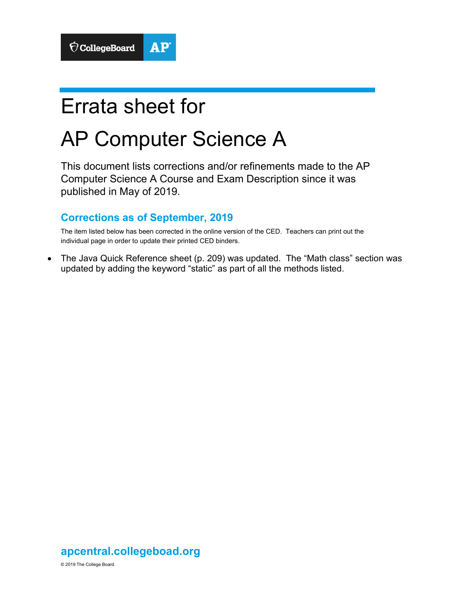## Errata sheet for

## AP Computer Science A

This document lists corrections and/or refinements made to the AP Computer Science A Course and Exam Description since it was published in May of 2019.

## **Corrections as of September, 2019**

The item listed below has been corrected in the online version of the CED. Teachers can print out the individual page in order to update their printed CED binders.

• The Java Quick Reference sheet (p. 209) was updated. The "Math class" section was updated by adding the keyword "static" as part of all the methods listed.